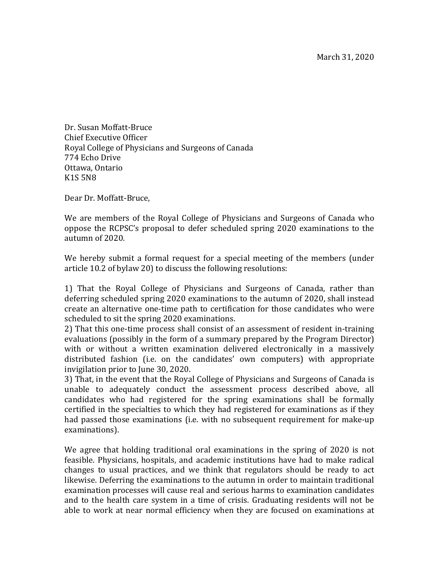Dr. Susan Moffatt-Bruce Chief Executive Officer Royal College of Physicians and Surgeons of Canada 774 Echo Drive Ottawa, Ontario K<sub>1</sub>S<sub>5N8</sub>

Dear Dr. Moffatt-Bruce.

We are members of the Royal College of Physicians and Surgeons of Canada who oppose the RCPSC's proposal to defer scheduled spring 2020 examinations to the autumn of 2020.

We hereby submit a formal request for a special meeting of the members (under article 10.2 of bylaw 20) to discuss the following resolutions:

1) That the Royal College of Physicians and Surgeons of Canada, rather than deferring scheduled spring 2020 examinations to the autumn of 2020, shall instead create an alternative one-time path to certification for those candidates who were scheduled to sit the spring 2020 examinations.

2) That this one-time process shall consist of an assessment of resident in-training evaluations (possibly in the form of a summary prepared by the Program Director) with or without a written examination delivered electronically in a massively distributed fashion (i.e. on the candidates' own computers) with appropriate invigilation prior to June 30, 2020.

3) That, in the event that the Royal College of Physicians and Surgeons of Canada is unable to adequately conduct the assessment process described above, all candidates who had registered for the spring examinations shall be formally certified in the specialties to which they had registered for examinations as if they had passed those examinations (i.e. with no subsequent requirement for make-up examinations).

We agree that holding traditional oral examinations in the spring of  $2020$  is not feasible. Physicians, hospitals, and academic institutions have had to make radical changes to usual practices, and we think that regulators should be ready to act likewise. Deferring the examinations to the autumn in order to maintain traditional examination processes will cause real and serious harms to examination candidates and to the health care system in a time of crisis. Graduating residents will not be able to work at near normal efficiency when they are focused on examinations at